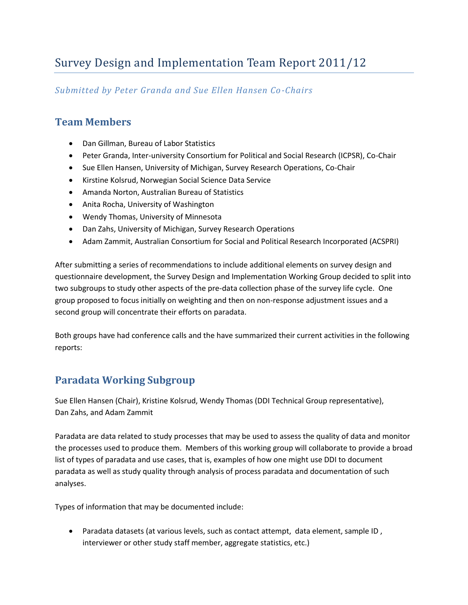# Survey Design and Implementation Team Report 2011/12

#### *Submitted by Peter Granda and Sue Ellen Hansen Co-Chairs*

### **Team Members**

- Dan Gillman, Bureau of Labor Statistics
- Peter Granda, Inter-university Consortium for Political and Social Research (ICPSR), Co-Chair
- Sue Ellen Hansen, University of Michigan, Survey Research Operations, Co-Chair
- Kirstine Kolsrud, Norwegian Social Science Data Service
- Amanda Norton, Australian Bureau of Statistics
- Anita Rocha, University of Washington
- Wendy Thomas, University of Minnesota
- Dan Zahs, University of Michigan, Survey Research Operations
- Adam Zammit, Australian Consortium for Social and Political Research Incorporated (ACSPRI)

After submitting a series of recommendations to include additional elements on survey design and questionnaire development, the Survey Design and Implementation Working Group decided to split into two subgroups to study other aspects of the pre-data collection phase of the survey life cycle. One group proposed to focus initially on weighting and then on non-response adjustment issues and a second group will concentrate their efforts on paradata.

Both groups have had conference calls and the have summarized their current activities in the following reports:

## **Paradata Working Subgroup**

Sue Ellen Hansen (Chair), Kristine Kolsrud, Wendy Thomas (DDI Technical Group representative), Dan Zahs, and Adam Zammit

Paradata are data related to study processes that may be used to assess the quality of data and monitor the processes used to produce them. Members of this working group will collaborate to provide a broad list of types of paradata and use cases, that is, examples of how one might use DDI to document paradata as well as study quality through analysis of process paradata and documentation of such analyses.

Types of information that may be documented include:

 Paradata datasets (at various levels, such as contact attempt, data element, sample ID , interviewer or other study staff member, aggregate statistics, etc.)